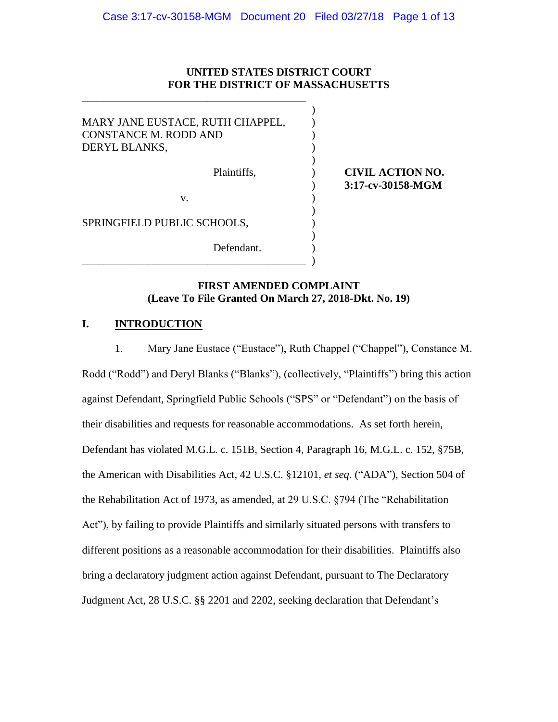### **UNITED STATES DISTRICT COURT FOR THE DISTRICT OF MASSACHUSETTS**

)

)

)

)

MARY JANE EUSTACE, RUTH CHAPPEL, CONSTANCE M. RODD AND ( DERYL BLANKS,  $\mathbf{v}$ .  $\qquad \qquad$  ) SPRINGFIELD PUBLIC SCHOOLS, Defendant. \_\_\_\_\_\_\_\_\_\_\_\_\_\_\_\_\_\_\_\_\_\_\_\_\_\_\_\_\_\_\_\_\_\_\_\_\_\_\_\_\_ )

\_\_\_\_\_\_\_\_\_\_\_\_\_\_\_\_\_\_\_\_\_\_\_\_\_\_\_\_\_\_\_\_\_\_\_\_\_\_\_\_\_

# Plaintiffs, ) **CIVIL ACTION NO.**  ) **3:17-cv-30158-MGM**

# **FIRST AMENDED COMPLAINT (Leave To File Granted On March 27, 2018-Dkt. No. 19)**

# **I. INTRODUCTION**

1. Mary Jane Eustace ("Eustace"), Ruth Chappel ("Chappel"), Constance M. Rodd ("Rodd") and Deryl Blanks ("Blanks"), (collectively, "Plaintiffs") bring this action against Defendant, Springfield Public Schools ("SPS" or "Defendant") on the basis of their disabilities and requests for reasonable accommodations. As set forth herein, Defendant has violated M.G.L. c. 151B, Section 4, Paragraph 16, M.G.L. c. 152, §75B, the American with Disabilities Act, 42 U.S.C. §12101, *et seq.* ("ADA"), Section 504 of the Rehabilitation Act of 1973, as amended, at 29 U.S.C. §794 (The "Rehabilitation Act"), by failing to provide Plaintiffs and similarly situated persons with transfers to different positions as a reasonable accommodation for their disabilities.Plaintiffs also bring a declaratory judgment action against Defendant, pursuant to The Declaratory Judgment Act, 28 U.S.C. §§ 2201 and 2202, seeking declaration that Defendant's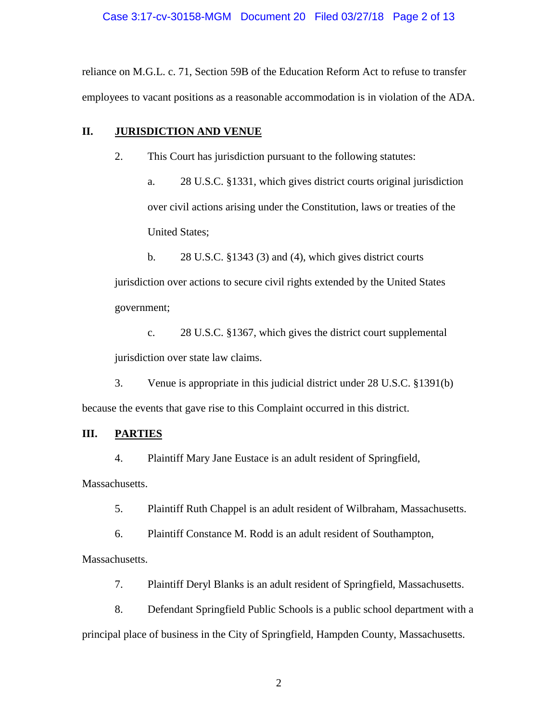reliance on M.G.L. c. 71, Section 59B of the Education Reform Act to refuse to transfer employees to vacant positions as a reasonable accommodation is in violation of the ADA.

### **II. JURISDICTION AND VENUE**

2. This Court has jurisdiction pursuant to the following statutes:

a. 28 U.S.C. §1331, which gives district courts original jurisdiction over civil actions arising under the Constitution, laws or treaties of the United States;

b. 28 U.S.C. §1343 (3) and (4), which gives district courts jurisdiction over actions to secure civil rights extended by the United States government;

c. 28 U.S.C. §1367, which gives the district court supplemental jurisdiction over state law claims.

3. Venue is appropriate in this judicial district under 28 U.S.C. §1391(b) because the events that gave rise to this Complaint occurred in this district.

### **III. PARTIES**

4. Plaintiff Mary Jane Eustace is an adult resident of Springfield,

Massachusetts.

5. Plaintiff Ruth Chappel is an adult resident of Wilbraham, Massachusetts.

6. Plaintiff Constance M. Rodd is an adult resident of Southampton,

Massachusetts.

7. Plaintiff Deryl Blanks is an adult resident of Springfield, Massachusetts.

8. Defendant Springfield Public Schools is a public school department with a principal place of business in the City of Springfield, Hampden County, Massachusetts.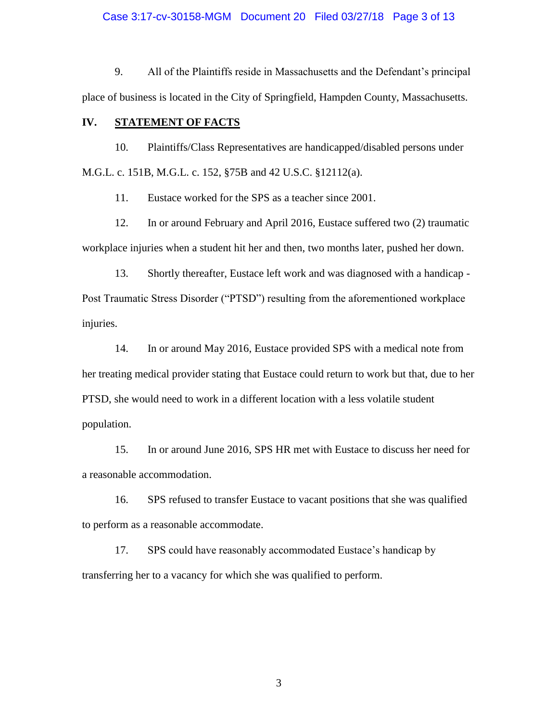Case 3:17-cv-30158-MGM Document 20 Filed 03/27/18 Page 3 of 13

9. All of the Plaintiffs reside in Massachusetts and the Defendant's principal place of business is located in the City of Springfield, Hampden County, Massachusetts.

### **IV. STATEMENT OF FACTS**

10. Plaintiffs/Class Representatives are handicapped/disabled persons under M.G.L. c. 151B, M.G.L. c. 152, §75B and 42 U.S.C. §12112(a).

11. Eustace worked for the SPS as a teacher since 2001.

12. In or around February and April 2016, Eustace suffered two (2) traumatic workplace injuries when a student hit her and then, two months later, pushed her down.

13. Shortly thereafter, Eustace left work and was diagnosed with a handicap - Post Traumatic Stress Disorder ("PTSD") resulting from the aforementioned workplace injuries.

14. In or around May 2016, Eustace provided SPS with a medical note from her treating medical provider stating that Eustace could return to work but that, due to her PTSD, she would need to work in a different location with a less volatile student population.

15. In or around June 2016, SPS HR met with Eustace to discuss her need for a reasonable accommodation.

16. SPS refused to transfer Eustace to vacant positions that she was qualified to perform as a reasonable accommodate.

 17. SPS could have reasonably accommodated Eustace's handicap by transferring her to a vacancy for which she was qualified to perform.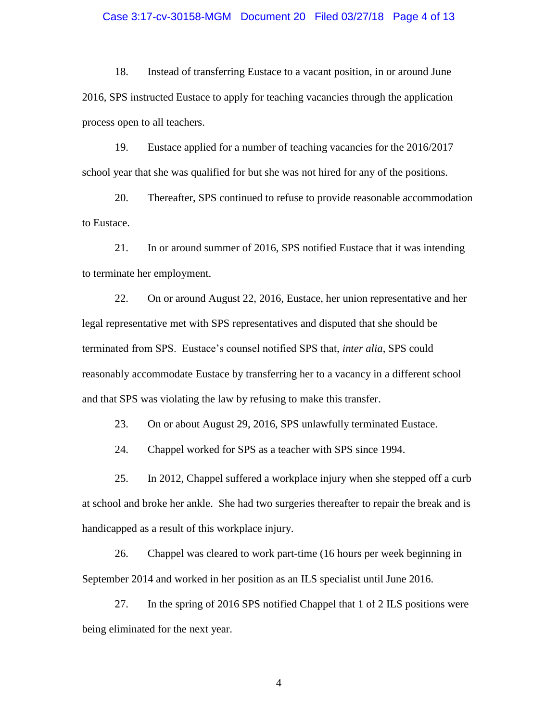#### Case 3:17-cv-30158-MGM Document 20 Filed 03/27/18 Page 4 of 13

18. Instead of transferring Eustace to a vacant position, in or around June 2016, SPS instructed Eustace to apply for teaching vacancies through the application process open to all teachers.

19. Eustace applied for a number of teaching vacancies for the 2016/2017 school year that she was qualified for but she was not hired for any of the positions.

20. Thereafter, SPS continued to refuse to provide reasonable accommodation to Eustace.

21. In or around summer of 2016, SPS notified Eustace that it was intending to terminate her employment.

22. On or around August 22, 2016, Eustace, her union representative and her legal representative met with SPS representatives and disputed that she should be terminated from SPS. Eustace's counsel notified SPS that, *inter alia*, SPS could reasonably accommodate Eustace by transferring her to a vacancy in a different school and that SPS was violating the law by refusing to make this transfer.

23. On or about August 29, 2016, SPS unlawfully terminated Eustace.

24. Chappel worked for SPS as a teacher with SPS since 1994.

25. In 2012, Chappel suffered a workplace injury when she stepped off a curb at school and broke her ankle. She had two surgeries thereafter to repair the break and is handicapped as a result of this workplace injury.

26. Chappel was cleared to work part-time (16 hours per week beginning in September 2014 and worked in her position as an ILS specialist until June 2016.

27. In the spring of 2016 SPS notified Chappel that 1 of 2 ILS positions were being eliminated for the next year.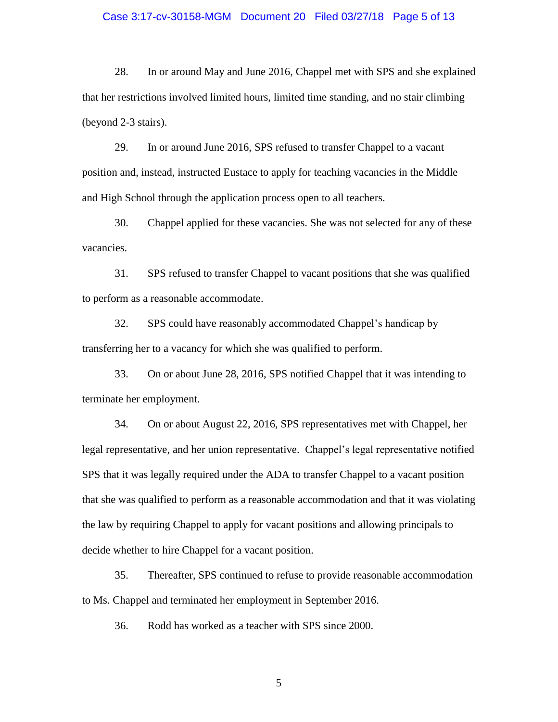#### Case 3:17-cv-30158-MGM Document 20 Filed 03/27/18 Page 5 of 13

28. In or around May and June 2016, Chappel met with SPS and she explained that her restrictions involved limited hours, limited time standing, and no stair climbing (beyond 2-3 stairs).

29. In or around June 2016, SPS refused to transfer Chappel to a vacant position and, instead, instructed Eustace to apply for teaching vacancies in the Middle and High School through the application process open to all teachers.

30. Chappel applied for these vacancies. She was not selected for any of these vacancies.

31. SPS refused to transfer Chappel to vacant positions that she was qualified to perform as a reasonable accommodate.

 32. SPS could have reasonably accommodated Chappel's handicap by transferring her to a vacancy for which she was qualified to perform.

33. On or about June 28, 2016, SPS notified Chappel that it was intending to terminate her employment.

34. On or about August 22, 2016, SPS representatives met with Chappel, her legal representative, and her union representative. Chappel's legal representative notified SPS that it was legally required under the ADA to transfer Chappel to a vacant position that she was qualified to perform as a reasonable accommodation and that it was violating the law by requiring Chappel to apply for vacant positions and allowing principals to decide whether to hire Chappel for a vacant position.

35. Thereafter, SPS continued to refuse to provide reasonable accommodation to Ms. Chappel and terminated her employment in September 2016.

36. Rodd has worked as a teacher with SPS since 2000.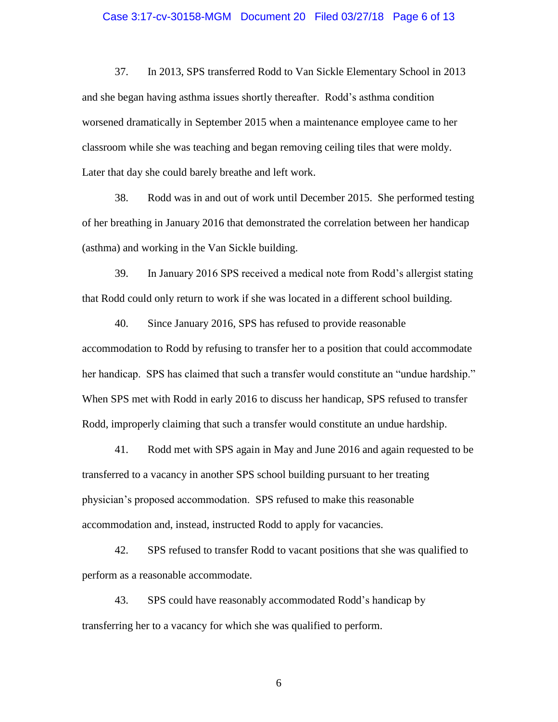#### Case 3:17-cv-30158-MGM Document 20 Filed 03/27/18 Page 6 of 13

37. In 2013, SPS transferred Rodd to Van Sickle Elementary School in 2013 and she began having asthma issues shortly thereafter. Rodd's asthma condition worsened dramatically in September 2015 when a maintenance employee came to her classroom while she was teaching and began removing ceiling tiles that were moldy. Later that day she could barely breathe and left work.

38. Rodd was in and out of work until December 2015. She performed testing of her breathing in January 2016 that demonstrated the correlation between her handicap (asthma) and working in the Van Sickle building.

39. In January 2016 SPS received a medical note from Rodd's allergist stating that Rodd could only return to work if she was located in a different school building.

40. Since January 2016, SPS has refused to provide reasonable accommodation to Rodd by refusing to transfer her to a position that could accommodate her handicap. SPS has claimed that such a transfer would constitute an "undue hardship." When SPS met with Rodd in early 2016 to discuss her handicap, SPS refused to transfer Rodd, improperly claiming that such a transfer would constitute an undue hardship.

41. Rodd met with SPS again in May and June 2016 and again requested to be transferred to a vacancy in another SPS school building pursuant to her treating physician's proposed accommodation. SPS refused to make this reasonable accommodation and, instead, instructed Rodd to apply for vacancies.

42. SPS refused to transfer Rodd to vacant positions that she was qualified to perform as a reasonable accommodate.

 43. SPS could have reasonably accommodated Rodd's handicap by transferring her to a vacancy for which she was qualified to perform.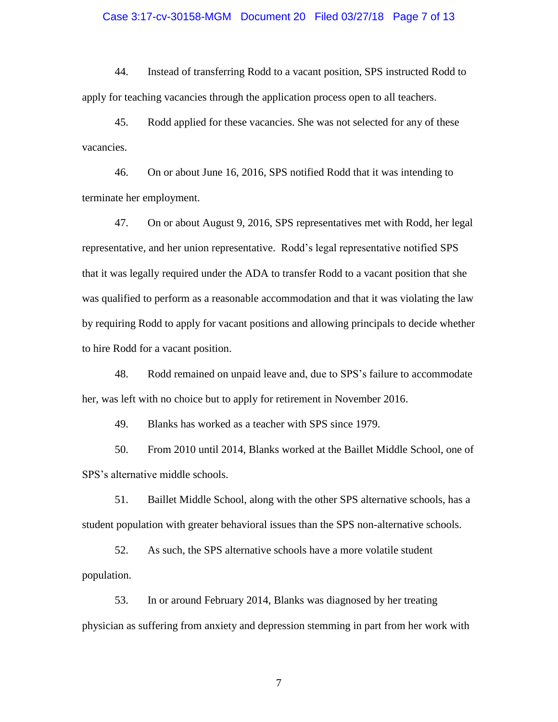#### Case 3:17-cv-30158-MGM Document 20 Filed 03/27/18 Page 7 of 13

44. Instead of transferring Rodd to a vacant position, SPS instructed Rodd to apply for teaching vacancies through the application process open to all teachers.

45. Rodd applied for these vacancies. She was not selected for any of these vacancies.

46. On or about June 16, 2016, SPS notified Rodd that it was intending to terminate her employment.

47. On or about August 9, 2016, SPS representatives met with Rodd, her legal representative, and her union representative. Rodd's legal representative notified SPS that it was legally required under the ADA to transfer Rodd to a vacant position that she was qualified to perform as a reasonable accommodation and that it was violating the law by requiring Rodd to apply for vacant positions and allowing principals to decide whether to hire Rodd for a vacant position.

48. Rodd remained on unpaid leave and, due to SPS's failure to accommodate her, was left with no choice but to apply for retirement in November 2016.

49. Blanks has worked as a teacher with SPS since 1979.

50. From 2010 until 2014, Blanks worked at the Baillet Middle School, one of SPS's alternative middle schools.

51. Baillet Middle School, along with the other SPS alternative schools, has a student population with greater behavioral issues than the SPS non-alternative schools.

52. As such, the SPS alternative schools have a more volatile student population.

53. In or around February 2014, Blanks was diagnosed by her treating physician as suffering from anxiety and depression stemming in part from her work with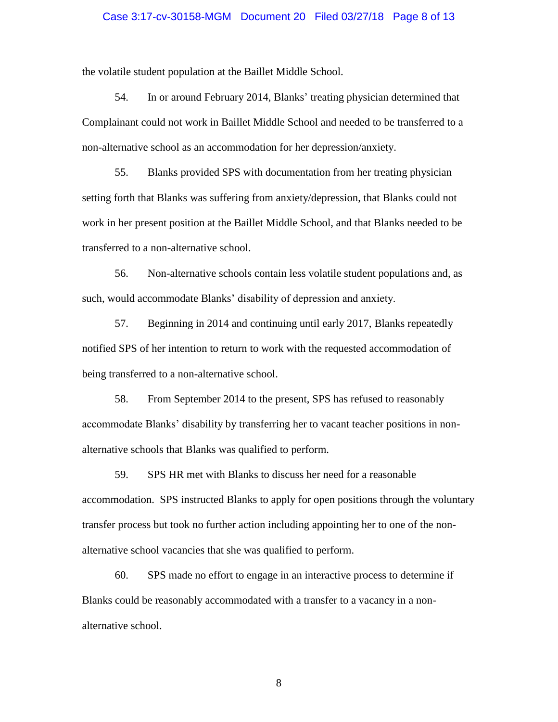#### Case 3:17-cv-30158-MGM Document 20 Filed 03/27/18 Page 8 of 13

the volatile student population at the Baillet Middle School.

54. In or around February 2014, Blanks' treating physician determined that Complainant could not work in Baillet Middle School and needed to be transferred to a non-alternative school as an accommodation for her depression/anxiety.

55. Blanks provided SPS with documentation from her treating physician setting forth that Blanks was suffering from anxiety/depression, that Blanks could not work in her present position at the Baillet Middle School, and that Blanks needed to be transferred to a non-alternative school.

56. Non-alternative schools contain less volatile student populations and, as such, would accommodate Blanks' disability of depression and anxiety.

57. Beginning in 2014 and continuing until early 2017, Blanks repeatedly notified SPS of her intention to return to work with the requested accommodation of being transferred to a non-alternative school.

58. From September 2014 to the present, SPS has refused to reasonably accommodate Blanks' disability by transferring her to vacant teacher positions in nonalternative schools that Blanks was qualified to perform.

59. SPS HR met with Blanks to discuss her need for a reasonable accommodation. SPS instructed Blanks to apply for open positions through the voluntary transfer process but took no further action including appointing her to one of the nonalternative school vacancies that she was qualified to perform.

60. SPS made no effort to engage in an interactive process to determine if Blanks could be reasonably accommodated with a transfer to a vacancy in a nonalternative school.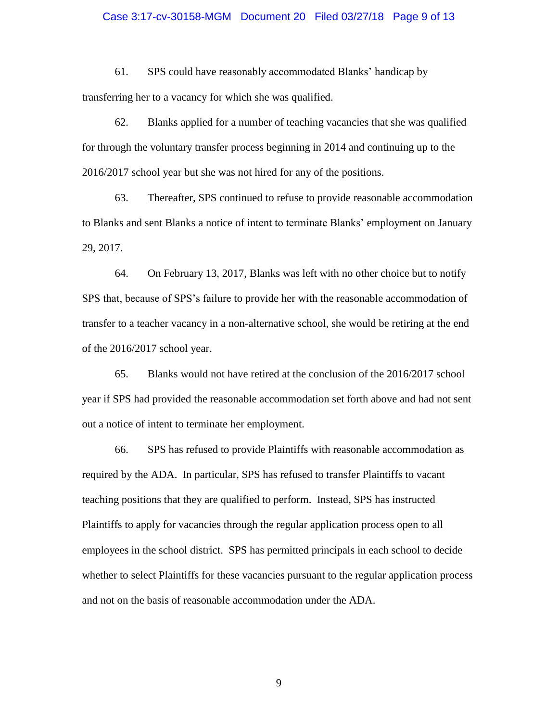#### Case 3:17-cv-30158-MGM Document 20 Filed 03/27/18 Page 9 of 13

61. SPS could have reasonably accommodated Blanks' handicap by transferring her to a vacancy for which she was qualified.

62. Blanks applied for a number of teaching vacancies that she was qualified for through the voluntary transfer process beginning in 2014 and continuing up to the 2016/2017 school year but she was not hired for any of the positions.

63. Thereafter, SPS continued to refuse to provide reasonable accommodation to Blanks and sent Blanks a notice of intent to terminate Blanks' employment on January 29, 2017.

64. On February 13, 2017, Blanks was left with no other choice but to notify SPS that, because of SPS's failure to provide her with the reasonable accommodation of transfer to a teacher vacancy in a non-alternative school, she would be retiring at the end of the 2016/2017 school year.

65. Blanks would not have retired at the conclusion of the 2016/2017 school year if SPS had provided the reasonable accommodation set forth above and had not sent out a notice of intent to terminate her employment.

66. SPS has refused to provide Plaintiffs with reasonable accommodation as required by the ADA. In particular, SPS has refused to transfer Plaintiffs to vacant teaching positions that they are qualified to perform. Instead, SPS has instructed Plaintiffs to apply for vacancies through the regular application process open to all employees in the school district. SPS has permitted principals in each school to decide whether to select Plaintiffs for these vacancies pursuant to the regular application process and not on the basis of reasonable accommodation under the ADA.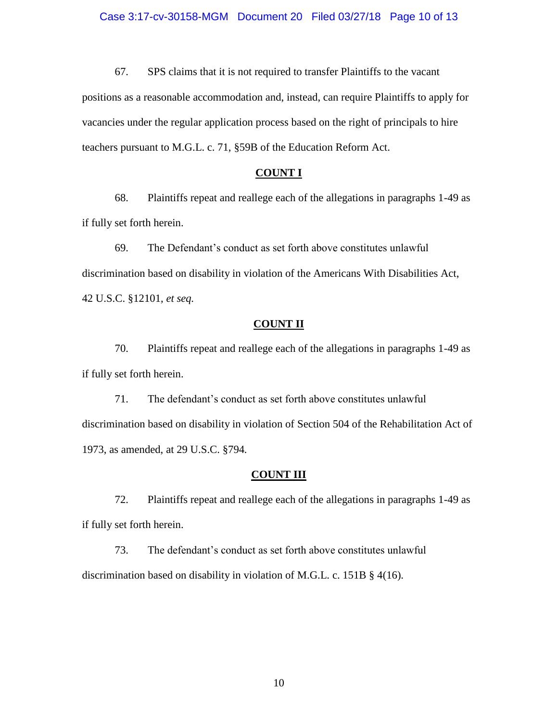67. SPS claims that it is not required to transfer Plaintiffs to the vacant positions as a reasonable accommodation and, instead, can require Plaintiffs to apply for vacancies under the regular application process based on the right of principals to hire teachers pursuant to M.G.L. c. 71, §59B of the Education Reform Act.

#### **COUNT I**

68. Plaintiffs repeat and reallege each of the allegations in paragraphs 1-49 as if fully set forth herein.

69. The Defendant's conduct as set forth above constitutes unlawful discrimination based on disability in violation of the Americans With Disabilities Act, 42 U.S.C. §12101, *et seq.*

#### **COUNT II**

70. Plaintiffs repeat and reallege each of the allegations in paragraphs 1-49 as if fully set forth herein.

71. The defendant's conduct as set forth above constitutes unlawful discrimination based on disability in violation of Section 504 of the Rehabilitation Act of 1973, as amended, at 29 U.S.C. §794*.*

#### **COUNT III**

72. Plaintiffs repeat and reallege each of the allegations in paragraphs 1-49 as if fully set forth herein.

73. The defendant's conduct as set forth above constitutes unlawful discrimination based on disability in violation of M.G.L. c. 151B § 4(16).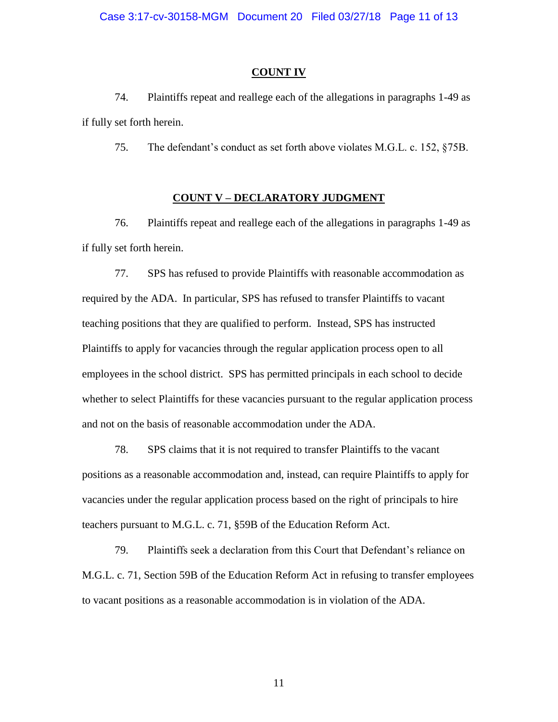#### **COUNT IV**

74. Plaintiffs repeat and reallege each of the allegations in paragraphs 1-49 as if fully set forth herein.

75. The defendant's conduct as set forth above violates M.G.L. c. 152, §75B.

#### **COUNT V – DECLARATORY JUDGMENT**

76. Plaintiffs repeat and reallege each of the allegations in paragraphs 1-49 as if fully set forth herein.

77. SPS has refused to provide Plaintiffs with reasonable accommodation as required by the ADA. In particular, SPS has refused to transfer Plaintiffs to vacant teaching positions that they are qualified to perform. Instead, SPS has instructed Plaintiffs to apply for vacancies through the regular application process open to all employees in the school district. SPS has permitted principals in each school to decide whether to select Plaintiffs for these vacancies pursuant to the regular application process and not on the basis of reasonable accommodation under the ADA.

78. SPS claims that it is not required to transfer Plaintiffs to the vacant positions as a reasonable accommodation and, instead, can require Plaintiffs to apply for vacancies under the regular application process based on the right of principals to hire teachers pursuant to M.G.L. c. 71, §59B of the Education Reform Act.

79. Plaintiffs seek a declaration from this Court that Defendant's reliance on M.G.L. c. 71, Section 59B of the Education Reform Act in refusing to transfer employees to vacant positions as a reasonable accommodation is in violation of the ADA.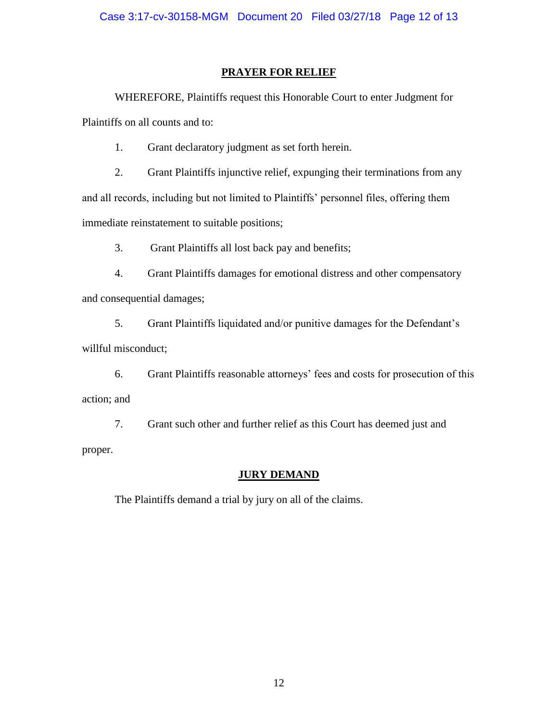### **PRAYER FOR RELIEF**

WHEREFORE, Plaintiffs request this Honorable Court to enter Judgment for Plaintiffs on all counts and to:

1. Grant declaratory judgment as set forth herein.

2. Grant Plaintiffs injunctive relief, expunging their terminations from any and all records, including but not limited to Plaintiffs' personnel files, offering them immediate reinstatement to suitable positions;

3. Grant Plaintiffs all lost back pay and benefits;

4. Grant Plaintiffs damages for emotional distress and other compensatory and consequential damages;

5. Grant Plaintiffs liquidated and/or punitive damages for the Defendant's willful misconduct;

6. Grant Plaintiffs reasonable attorneys' fees and costs for prosecution of this action; and

7. Grant such other and further relief as this Court has deemed just and proper.

# **JURY DEMAND**

The Plaintiffs demand a trial by jury on all of the claims.